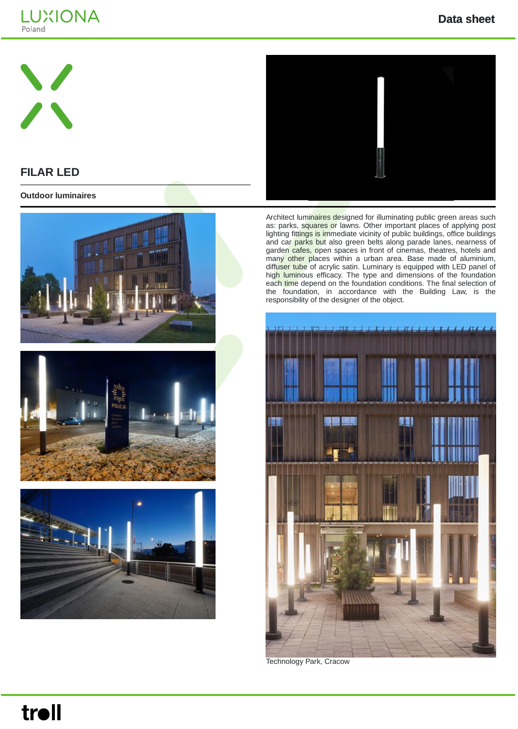





**FILAR LED**

**Outdoor luminaires**







Architect luminaires designed for illuminating public green areas such as: parks, squares or lawns. Other important places of applying post lighting fittings is immediate vicinity of public buildings, office buildings and car parks but also green belts along parade lanes, nearness of garden cafes, open spaces in front of cinemas, theatres, hotels and many other places within a urban area. Base made of aluminium, diffuser tube of acrylic satin. Luminary is equipped with LED panel of high luminous efficacy. The type and dimensions of the foundation each time depend on the foundation conditions. The final selection of the foundation, in accordance with the Building Law, is the responsibility of the designer of the object.



Technology Park, Cracow